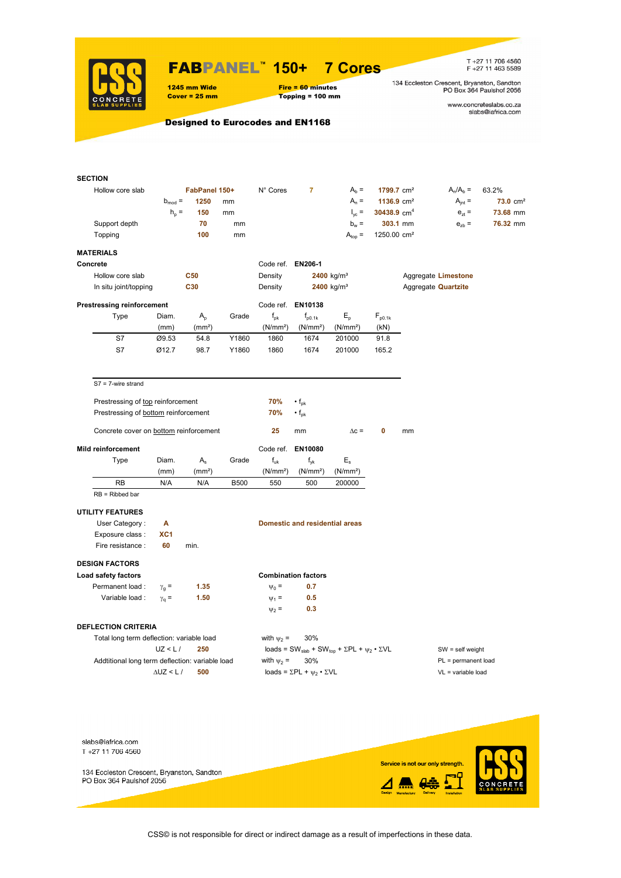

### FABPANEL**™ 150+ 7 Cores**

1245 mm Wide Fire = 60 minutes<br>
Cover = 25 mm Topping = 100 mm

# $Topping = 100 mm$

T +27 11 706 4560<br>F +27 11 463 5589

134 Eccleston Crescent, Bryanston, Sandton<br>PO Box 364 Paulshof 2056

www.concreteslabs.co.za<br>slabs@iafrica.com

Designed to Eurocodes and EN1168

| <b>SECTION</b>                                  |                      |                    |             |                      |                                                |                                                                                         |                         |    |                            |                     |
|-------------------------------------------------|----------------------|--------------------|-------------|----------------------|------------------------------------------------|-----------------------------------------------------------------------------------------|-------------------------|----|----------------------------|---------------------|
| Hollow core slab                                |                      | FabPanel 150+      |             | N° Cores             | $\overline{7}$                                 | $Ab =$                                                                                  | 1799.7 cm <sup>2</sup>  |    | $A_n/A_b =$                | 63.2%               |
|                                                 | $b_{mod}$ =          | 1250               | mm          |                      |                                                | $A_n =$                                                                                 | 1136.9 $cm2$            |    | $A_{int} =$                | $73.0 \text{ cm}^2$ |
|                                                 | $h_{\rm p}$ =        | 150                | mm          |                      |                                                | $I_{\text{vc}} =$                                                                       | 30438.9 $cm4$           |    | $e_{zt}$ =                 | 73.68 mm            |
| Support depth                                   |                      | 70                 | mm          |                      |                                                | $b_w =$                                                                                 | 303.1 mm                |    | $e_{zb}$ =                 | 76.32 mm            |
| Topping                                         |                      | 100                | mm          |                      |                                                | $A_{top} =$                                                                             | 1250.00 cm <sup>2</sup> |    |                            |                     |
| <b>MATERIALS</b>                                |                      |                    |             |                      |                                                |                                                                                         |                         |    |                            |                     |
| Concrete                                        |                      |                    |             | Code ref. EN206-1    |                                                |                                                                                         |                         |    |                            |                     |
| Hollow core slab                                |                      | <b>C50</b>         |             | Density              |                                                | 2400 kg/m <sup>3</sup>                                                                  |                         |    | Aggregate Limestone        |                     |
| In situ joint/topping                           |                      | C30                |             | Density              |                                                | 2400 kg/m <sup>3</sup>                                                                  |                         |    | Aggregate <b>Quartzite</b> |                     |
| <b>Prestressing reinforcement</b>               |                      |                    |             |                      | Code ref. EN10138                              |                                                                                         |                         |    |                            |                     |
| Type                                            | Diam.                | $A_{p}$            | Grade       | $f_{\rm pk}$         | $f_{\text{D0.1k}}$                             | $E_{p}$                                                                                 | $F_{p0.1k}$             |    |                            |                     |
|                                                 | (mm)                 | (mm <sup>2</sup> ) |             | (N/mm <sup>2</sup> ) | (N/mm <sup>2</sup> )                           | (N/mm <sup>2</sup> )                                                                    | (kN)                    |    |                            |                     |
| S7                                              | Ø9.53                | 54.8               | Y1860       | 1860                 | 1674                                           | 201000                                                                                  | 91.8                    |    |                            |                     |
| S7                                              | Ø12.7                | 98.7               | Y1860       | 1860                 | 1674                                           | 201000                                                                                  | 165.2                   |    |                            |                     |
|                                                 |                      |                    |             |                      |                                                |                                                                                         |                         |    |                            |                     |
| $S7 = 7$ -wire strand                           |                      |                    |             |                      |                                                |                                                                                         |                         |    |                            |                     |
| Prestressing of top reinforcement               |                      |                    |             | 70%                  |                                                |                                                                                         |                         |    |                            |                     |
| Prestressing of bottom reinforcement            |                      |                    |             | 70%                  | $\cdot f_{\rm pk}$<br>$\cdot f_{\rm pk}$       |                                                                                         |                         |    |                            |                     |
| Concrete cover on bottom reinforcement          |                      |                    |             | 25                   | mm                                             | $\Delta c =$                                                                            | 0                       | mm |                            |                     |
|                                                 |                      |                    |             |                      |                                                |                                                                                         |                         |    |                            |                     |
| Mild reinforcement                              |                      |                    |             | Code ref.            | EN10080                                        |                                                                                         |                         |    |                            |                     |
| Type                                            | Diam.                | $A_{s}$            | Grade       | $f_{uk}$             | $f_{\mathsf{vk}}$                              | $E_{\rm s}$                                                                             |                         |    |                            |                     |
|                                                 | (mm)                 | (mm <sup>2</sup> ) |             | (N/mm <sup>2</sup> ) | (N/mm <sup>2</sup> )                           | (N/mm <sup>2</sup> )                                                                    |                         |    |                            |                     |
| <b>RB</b>                                       | N/A                  | N/A                | <b>B500</b> | 550                  | 500                                            | 200000                                                                                  |                         |    |                            |                     |
| $RB = Ribbed bar$                               |                      |                    |             |                      |                                                |                                                                                         |                         |    |                            |                     |
| <b>UTILITY FEATURES</b>                         |                      |                    |             |                      |                                                |                                                                                         |                         |    |                            |                     |
| User Category:                                  | Α                    |                    |             |                      | <b>Domestic and residential areas</b>          |                                                                                         |                         |    |                            |                     |
| Exposure class :                                | XC <sub>1</sub>      |                    |             |                      |                                                |                                                                                         |                         |    |                            |                     |
| Fire resistance :                               | 60                   | min.               |             |                      |                                                |                                                                                         |                         |    |                            |                     |
| <b>DESIGN FACTORS</b>                           |                      |                    |             |                      |                                                |                                                                                         |                         |    |                            |                     |
| Load safety factors                             |                      |                    |             |                      | <b>Combination factors</b>                     |                                                                                         |                         |    |                            |                     |
| Permanent load :                                | $\gamma_{q}$ =       | 1.35               |             | $\Psi_0 =$           | 0.7                                            |                                                                                         |                         |    |                            |                     |
| Variable load :                                 | $\gamma_q =$         | 1.50               |             | $\Psi_1 =$           | 0.5                                            |                                                                                         |                         |    |                            |                     |
|                                                 |                      |                    |             | $\Psi_2$ =           | 0.3                                            |                                                                                         |                         |    |                            |                     |
| <b>DEFLECTION CRITERIA</b>                      |                      |                    |             |                      |                                                |                                                                                         |                         |    |                            |                     |
| Total long term deflection: variable load       |                      |                    |             | with $\psi_2$ =      | 30%                                            |                                                                                         |                         |    |                            |                     |
|                                                 | UZ < L/              | 250                |             |                      |                                                | loads = SW <sub>slab</sub> + SW <sub>top</sub> + $\Sigma$ PL + $\psi_2 \cdot \Sigma$ VL |                         |    | $SW = self weight$         |                     |
| Addtitional long term deflection: variable load |                      |                    |             | with $\psi_2$ =      | 30%                                            |                                                                                         |                         |    | $PL = permanent load$      |                     |
|                                                 | $\triangle$ UZ < L / | 500                |             |                      | loads = $\Sigma$ PL + $\psi_2 \cdot \Sigma$ VL |                                                                                         |                         |    | $VL = variable load$       |                     |
|                                                 |                      |                    |             |                      |                                                |                                                                                         |                         |    |                            |                     |
|                                                 |                      |                    |             |                      |                                                |                                                                                         |                         |    |                            |                     |
|                                                 |                      |                    |             |                      |                                                |                                                                                         |                         |    |                            |                     |



CSS© is not responsible for direct or indirect damage as a result of imperfections in these data.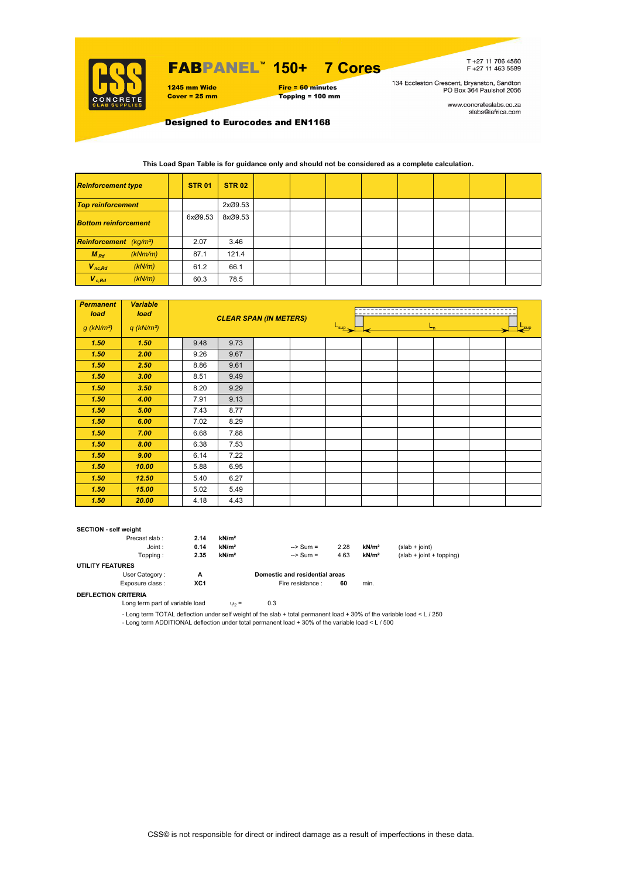

## FABPANEL**™ 150+ 7 Cores**

1245 mm Wide Fire = 60 minutes<br>
Cover = 25 mm Topping = 100 mm  $Topping = 100$  mm T+27 11 706 4560<br>F+27 11 463 5589

134 Eccleston Crescent, Bryanston, Sandton<br>PO Box 364 Paulshof 2056

www.concreteslabs.co.za<br>slabs@iafrica.com

Designed to Eurocodes and EN1168

#### **This Load Span Table is for guidance only and should not be considered as a complete calculation.**

| <b>Reinforcement type</b>                 |         | <b>STR 01</b> | <b>STR 02</b> |  |  |  |  |
|-------------------------------------------|---------|---------------|---------------|--|--|--|--|
| <b>Top reinforcement</b>                  |         |               | 2xØ9.53       |  |  |  |  |
| <b>Bottom reinforcement</b>               |         | 6xØ9.53       | 8xØ9.53       |  |  |  |  |
| <b>Reinforcement</b> (kg/m <sup>2</sup> ) |         | 2.07          | 3.46          |  |  |  |  |
| $M_{Rd}$                                  | (kNm/m) | 87.1          | 121.4         |  |  |  |  |
| $V_{nc,Rd}$                               | (kN/m)  | 61.2          | 66.1          |  |  |  |  |
| $V_{c, Rd}$                               | (kN/m)  | 60.3          | 78.5          |  |  |  |  |

| <b>Permanent</b><br>load | <b>Variable</b><br>load  |      |      | <b>CLEAR SPAN (IN METERS)</b> |                  |         |  |  |
|--------------------------|--------------------------|------|------|-------------------------------|------------------|---------|--|--|
| $g$ (kN/m <sup>2</sup> ) | $q$ (kN/m <sup>2</sup> ) |      |      |                               | $L_{\text{sup}}$ | $L_{n}$ |  |  |
| 1.50                     | 1.50                     | 9.48 | 9.73 |                               |                  |         |  |  |
| 1.50                     | 2.00                     | 9.26 | 9.67 |                               |                  |         |  |  |
| 1.50                     | 2.50                     | 8.86 | 9.61 |                               |                  |         |  |  |
| 1.50                     | 3.00                     | 8.51 | 9.49 |                               |                  |         |  |  |
| 1.50                     | 3.50                     | 8.20 | 9.29 |                               |                  |         |  |  |
| 1.50                     | 4.00                     | 7.91 | 9.13 |                               |                  |         |  |  |
| 1.50                     | 5.00                     | 7.43 | 8.77 |                               |                  |         |  |  |
| 1.50                     | 6.00                     | 7.02 | 8.29 |                               |                  |         |  |  |
| 1.50                     | 7.00                     | 6.68 | 7.88 |                               |                  |         |  |  |
| 1.50                     | 8.00                     | 6.38 | 7.53 |                               |                  |         |  |  |
| 1.50                     | 9.00                     | 6.14 | 7.22 |                               |                  |         |  |  |
| 1.50                     | 10.00                    | 5.88 | 6.95 |                               |                  |         |  |  |
| 1.50                     | 12.50                    | 5.40 | 6.27 |                               |                  |         |  |  |
| 1.50                     | 15.00                    | 5.02 | 5.49 |                               |                  |         |  |  |
| 1.50                     | 20.00                    | 4.18 | 4.43 |                               |                  |         |  |  |

#### **SECTION - self weight**

| Precast slab:           | 2.14 | kN/m <sup>2</sup> |                                |      |                   |                            |
|-------------------------|------|-------------------|--------------------------------|------|-------------------|----------------------------|
| Joint:                  | 0.14 | kN/m <sup>2</sup> | $\Rightarrow$ Sum =            | 2.28 | kN/m <sup>2</sup> | $(slab + joint)$           |
| Topping:                | 2.35 | kN/m <sup>2</sup> | $\Rightarrow$ Sum =            | 4.63 | kN/m <sup>2</sup> | $(slab + joint + topping)$ |
| <b>UTILITY FEATURES</b> |      |                   |                                |      |                   |                            |
| User Category:          | А    |                   | Domestic and residential areas |      |                   |                            |
| Exposure class:         | XC1  |                   | Fire resistance :              | 60   | min.              |                            |
|                         |      |                   |                                |      |                   |                            |

**DEFLECTION CRITERIA**

Long term part of variable load  $v_2 = 0.3$ 

- Long term TOTAL deflection under self weight of the slab + total permanent load + 30% of the variable load < L / 250 - Long term ADDITIONAL deflection under total permanent load + 30% of the variable load < L / 500